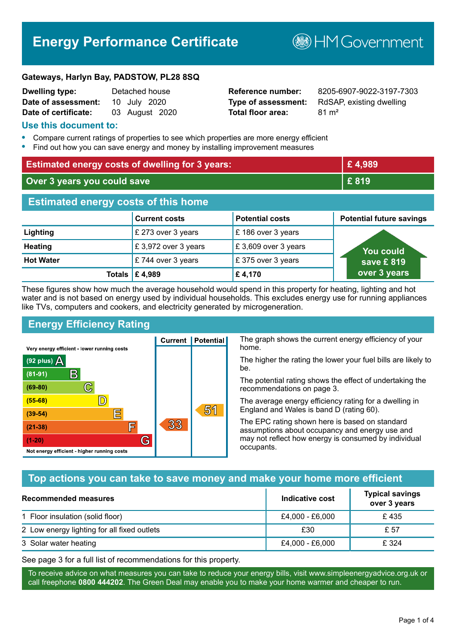# **Energy Performance Certificate**

**B**HM Government

#### **Gateways, Harlyn Bay, PADSTOW, PL28 8SQ**

| <b>Dwelling type:</b> | Detached house |
|-----------------------|----------------|
| Date of assessment:   | 10 July 2020   |
| Date of certificate:  | 03 August 2020 |

# **Total floor area:** 81 m<sup>2</sup>

**Reference number:** 8205-6907-9022-3197-7303 **Type of assessment:** RdSAP, existing dwelling

#### **Use this document to:**

- **•** Compare current ratings of properties to see which properties are more energy efficient
- **•** Find out how you can save energy and money by installing improvement measures

| <b>Estimated energy costs of dwelling for 3 years:</b> |                           |                        | £4,989                          |
|--------------------------------------------------------|---------------------------|------------------------|---------------------------------|
| Over 3 years you could save                            |                           |                        | £819                            |
| <b>Estimated energy costs of this home</b>             |                           |                        |                                 |
|                                                        | <b>Current costs</b>      | <b>Potential costs</b> | <b>Potential future savings</b> |
| Lighting                                               | £ 273 over 3 years        | £186 over 3 years      |                                 |
| <b>Heating</b>                                         | £3,972 over 3 years       | £3,609 over 3 years    | <u>You could</u>                |
| <b>Hot Water</b>                                       | £744 over 3 years         | £375 over 3 years      | save £819                       |
|                                                        | Totals $\mathsf{E}$ 4,989 | £4,170                 | over 3 years                    |

These figures show how much the average household would spend in this property for heating, lighting and hot water and is not based on energy used by individual households. This excludes energy use for running appliances like TVs, computers and cookers, and electricity generated by microgeneration.

**Current | Potential** 

33

# **Energy Efficiency Rating**

 $\mathbb{C}$ 

 $\mathbb{D}$ 

E

厏

G

Very energy efficient - lower running costs

 $\mathsf{R}% _{T}$ 

Not energy efficient - higher running costs

(92 plus)  $\Delta$ 

 $(81 - 91)$ 

 $(69 - 80)$ 

 $(55-68)$ 

 $(39 - 54)$ 

 $(21-38)$ 

 $(1-20)$ 

The graph shows the current energy efficiency of your home.

The higher the rating the lower your fuel bills are likely to be.

The potential rating shows the effect of undertaking the recommendations on page 3.

The average energy efficiency rating for a dwelling in England and Wales is band D (rating 60).

The EPC rating shown here is based on standard assumptions about occupancy and energy use and may not reflect how energy is consumed by individual occupants.

## **Top actions you can take to save money and make your home more efficient**

51

| Recommended measures                        | Indicative cost | <b>Typical savings</b><br>over 3 years |
|---------------------------------------------|-----------------|----------------------------------------|
| 1 Floor insulation (solid floor)            | £4,000 - £6,000 | £435                                   |
| 2 Low energy lighting for all fixed outlets | £30             | £ 57                                   |
| 3 Solar water heating                       | £4,000 - £6,000 | £ 324                                  |

See page 3 for a full list of recommendations for this property.

To receive advice on what measures you can take to reduce your energy bills, visit www.simpleenergyadvice.org.uk or call freephone **0800 444202**. The Green Deal may enable you to make your home warmer and cheaper to run.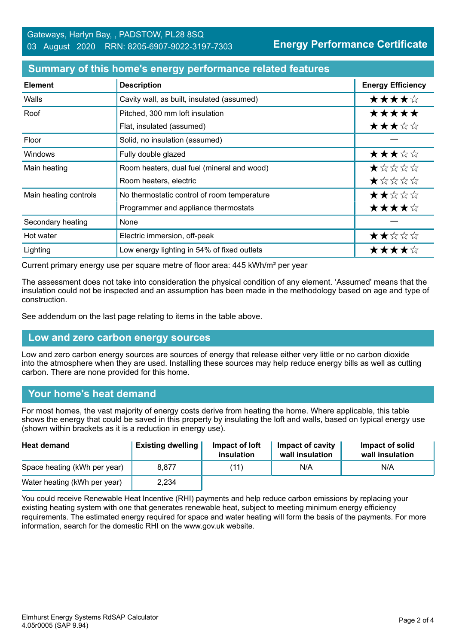#### **Summary of this home's energy performance related features**

| <b>Element</b>        | <b>Description</b>                          | <b>Energy Efficiency</b> |
|-----------------------|---------------------------------------------|--------------------------|
| Walls                 | Cavity wall, as built, insulated (assumed)  | ★★★★☆                    |
| Roof                  | Pitched, 300 mm loft insulation             | *****                    |
|                       | Flat, insulated (assumed)                   | ★★★☆☆                    |
| Floor                 | Solid, no insulation (assumed)              |                          |
| <b>Windows</b>        | Fully double glazed                         | ★★★☆☆                    |
| Main heating          | Room heaters, dual fuel (mineral and wood)  | *****                    |
|                       | Room heaters, electric                      | $\star$ * * * *          |
| Main heating controls | No thermostatic control of room temperature | ★★☆☆☆                    |
|                       | Programmer and appliance thermostats        | ★★★★☆                    |
| Secondary heating     | None                                        |                          |
| Hot water             | Electric immersion, off-peak                | ★★☆☆☆                    |
| Lighting              | Low energy lighting in 54% of fixed outlets | ★★★★☆                    |

Current primary energy use per square metre of floor area: 445 kWh/m² per year

The assessment does not take into consideration the physical condition of any element. 'Assumed' means that the insulation could not be inspected and an assumption has been made in the methodology based on age and type of construction.

See addendum on the last page relating to items in the table above.

#### **Low and zero carbon energy sources**

Low and zero carbon energy sources are sources of energy that release either very little or no carbon dioxide into the atmosphere when they are used. Installing these sources may help reduce energy bills as well as cutting carbon. There are none provided for this home.

#### **Your home's heat demand**

For most homes, the vast majority of energy costs derive from heating the home. Where applicable, this table shows the energy that could be saved in this property by insulating the loft and walls, based on typical energy use (shown within brackets as it is a reduction in energy use).

| <b>Heat demand</b>           | <b>Existing dwelling</b> | Impact of loft<br>insulation | Impact of cavity<br>wall insulation | Impact of solid<br>wall insulation |
|------------------------------|--------------------------|------------------------------|-------------------------------------|------------------------------------|
| Space heating (kWh per year) | 8,877                    | (11)                         | N/A                                 | N/A                                |
| Water heating (kWh per year) | 2,234                    |                              |                                     |                                    |

You could receive Renewable Heat Incentive (RHI) payments and help reduce carbon emissions by replacing your existing heating system with one that generates renewable heat, subject to meeting minimum energy efficiency requirements. The estimated energy required for space and water heating will form the basis of the payments. For more information, search for the domestic RHI on the www.gov.uk website.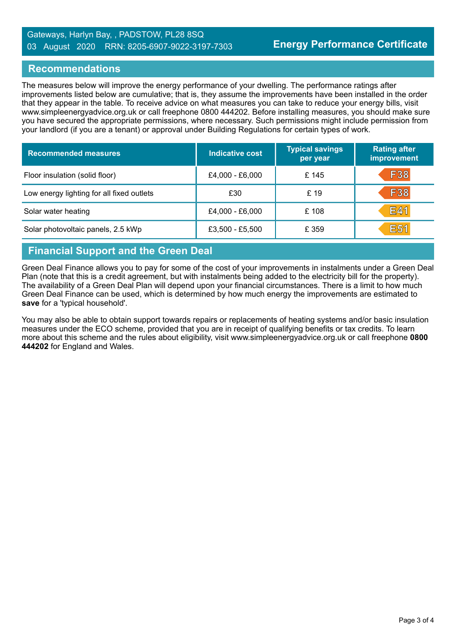#### Gateways, Harlyn Bay, , PADSTOW, PL28 8SQ 03 August 2020 RRN: 8205-6907-9022-3197-7303

#### **Recommendations**

The measures below will improve the energy performance of your dwelling. The performance ratings after improvements listed below are cumulative; that is, they assume the improvements have been installed in the order that they appear in the table. To receive advice on what measures you can take to reduce your energy bills, visit www.simpleenergyadvice.org.uk or call freephone 0800 444202. Before installing measures, you should make sure you have secured the appropriate permissions, where necessary. Such permissions might include permission from your landlord (if you are a tenant) or approval under Building Regulations for certain types of work.

| <b>Recommended measures</b>               | Indicative cost | <b>Typical savings</b><br>per year | <b>Rating after</b><br>improvement |
|-------------------------------------------|-----------------|------------------------------------|------------------------------------|
| Floor insulation (solid floor)            | £4,000 - £6,000 | £145                               | <b>F38</b>                         |
| Low energy lighting for all fixed outlets | £30             | £ 19                               | <b>F38</b>                         |
| Solar water heating                       | £4,000 - £6,000 | £108                               | E41                                |
| Solar photovoltaic panels, 2.5 kWp        | £3,500 - £5,500 | £ 359                              | <b>E51</b>                         |

# **Financial Support and the Green Deal**

Green Deal Finance allows you to pay for some of the cost of your improvements in instalments under a Green Deal Plan (note that this is a credit agreement, but with instalments being added to the electricity bill for the property). The availability of a Green Deal Plan will depend upon your financial circumstances. There is a limit to how much Green Deal Finance can be used, which is determined by how much energy the improvements are estimated to **save** for a 'typical household'.

You may also be able to obtain support towards repairs or replacements of heating systems and/or basic insulation measures under the ECO scheme, provided that you are in receipt of qualifying benefits or tax credits. To learn more about this scheme and the rules about eligibility, visit www.simpleenergyadvice.org.uk or call freephone **0800 444202** for England and Wales.